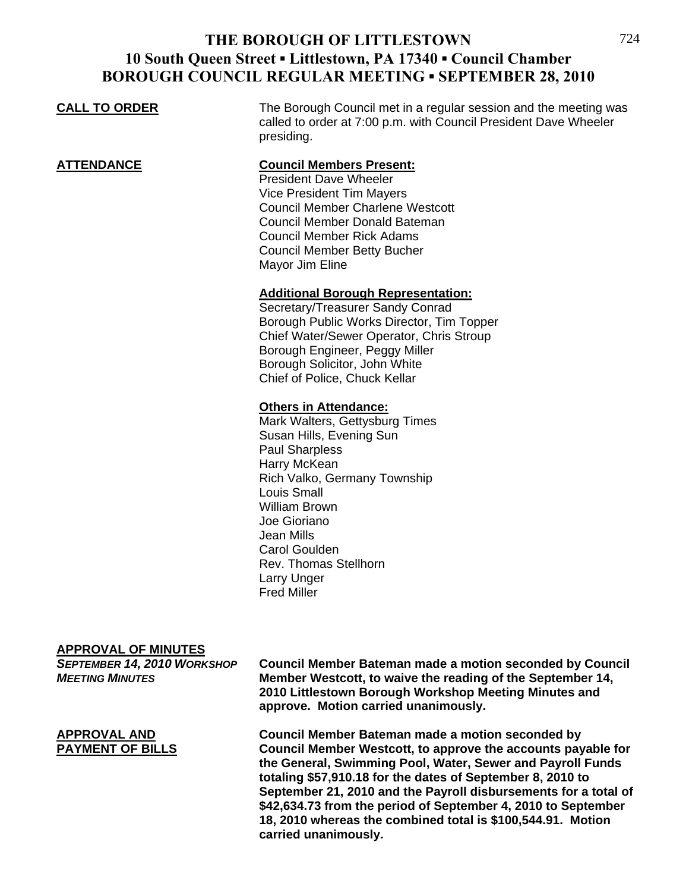### **CALL TO ORDER** The Borough Council met in a regular session and the meeting was called to order at 7:00 p.m. with Council President Dave Wheeler presiding. **ATTENDANCE Council Members Present:** President Dave Wheeler Vice President Tim Mayers Council Member Charlene Westcott Council Member Donald Bateman Council Member Rick Adams Council Member Betty Bucher Mayor Jim Eline **Additional Borough Representation:** Secretary/Treasurer Sandy Conrad Borough Public Works Director, Tim Topper Chief Water/Sewer Operator, Chris Stroup Borough Engineer, Peggy Miller Borough Solicitor, John White Chief of Police, Chuck Kellar **Others in Attendance:** Mark Walters, Gettysburg Times Susan Hills, Evening Sun

 Paul Sharpless Harry McKean Rich Valko, Germany Township Louis Small William Brown Joe Gioriano Jean Mills Carol Goulden Rev. Thomas Stellhorn Larry Unger Fred Miller

#### **APPROVAL OF MINUTES**

| SEPTEMBER 14, 2010 WORKSHOP<br><b>MEETING MINUTES</b> | <b>Council Member Bateman made a motion seconded by Council</b><br>Member Westcott, to waive the reading of the September 14,<br>2010 Littlestown Borough Workshop Meeting Minutes and<br>approve. Motion carried unanimously.                                                                                                                                                                                                                  |
|-------------------------------------------------------|-------------------------------------------------------------------------------------------------------------------------------------------------------------------------------------------------------------------------------------------------------------------------------------------------------------------------------------------------------------------------------------------------------------------------------------------------|
| <b>APPROVAL AND</b><br><b>PAYMENT OF BILLS</b>        | Council Member Bateman made a motion seconded by<br>Council Member Westcott, to approve the accounts payable for<br>the General, Swimming Pool, Water, Sewer and Payroll Funds<br>totaling \$57,910.18 for the dates of September 8, 2010 to<br>September 21, 2010 and the Payroll disbursements for a total of<br>\$42,634.73 from the period of September 4, 2010 to September<br>18, 2010 whereas the combined total is \$100,544.91. Motion |

**carried unanimously.**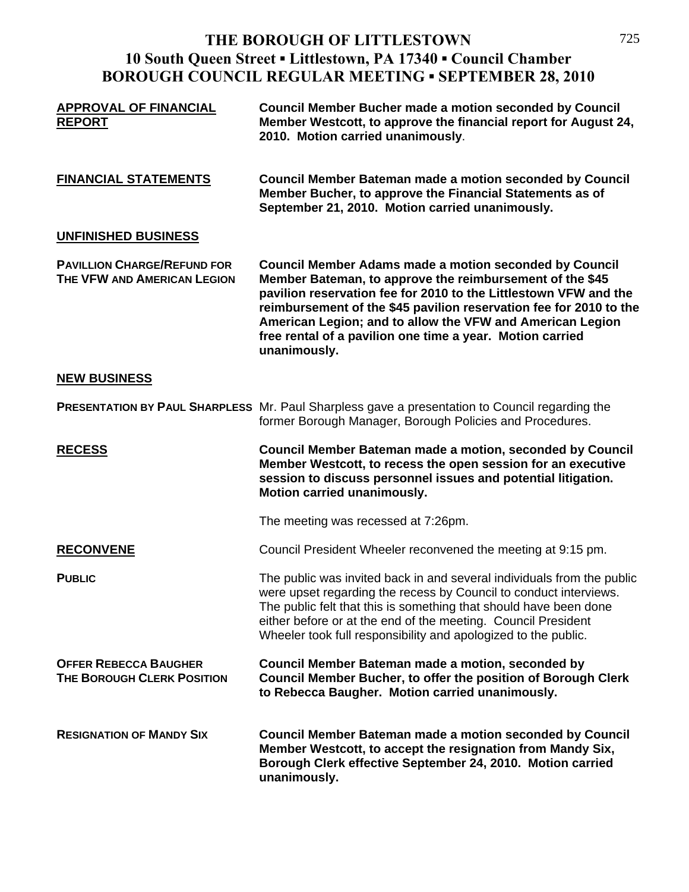| <b>APPROVAL OF FINANCIAL</b><br><b>REPORT</b>                     | <b>Council Member Bucher made a motion seconded by Council</b><br>Member Westcott, to approve the financial report for August 24,<br>2010. Motion carried unanimously.                                                                                                                                                                                                                                        |
|-------------------------------------------------------------------|---------------------------------------------------------------------------------------------------------------------------------------------------------------------------------------------------------------------------------------------------------------------------------------------------------------------------------------------------------------------------------------------------------------|
| <b>FINANCIAL STATEMENTS</b>                                       | <b>Council Member Bateman made a motion seconded by Council</b><br>Member Bucher, to approve the Financial Statements as of<br>September 21, 2010. Motion carried unanimously.                                                                                                                                                                                                                                |
| UNFINISHED BUSINESS                                               |                                                                                                                                                                                                                                                                                                                                                                                                               |
| <b>PAVILLION CHARGE/REFUND FOR</b><br>THE VFW AND AMERICAN LEGION | <b>Council Member Adams made a motion seconded by Council</b><br>Member Bateman, to approve the reimbursement of the \$45<br>pavilion reservation fee for 2010 to the Littlestown VFW and the<br>reimbursement of the \$45 pavilion reservation fee for 2010 to the<br>American Legion; and to allow the VFW and American Legion<br>free rental of a pavilion one time a year. Motion carried<br>unanimously. |
| <b>NEW BUSINESS</b>                                               |                                                                                                                                                                                                                                                                                                                                                                                                               |
|                                                                   | <b>PRESENTATION BY PAUL SHARPLESS</b> Mr. Paul Sharpless gave a presentation to Council regarding the<br>former Borough Manager, Borough Policies and Procedures.                                                                                                                                                                                                                                             |
| <b>RECESS</b>                                                     | Council Member Bateman made a motion, seconded by Council<br>Member Westcott, to recess the open session for an executive<br>session to discuss personnel issues and potential litigation.<br>Motion carried unanimously.                                                                                                                                                                                     |
|                                                                   | The meeting was recessed at 7:26pm.                                                                                                                                                                                                                                                                                                                                                                           |
| <b>RECONVENE</b>                                                  | Council President Wheeler reconvened the meeting at 9:15 pm.                                                                                                                                                                                                                                                                                                                                                  |
| <b>PUBLIC</b>                                                     | The public was invited back in and several individuals from the public<br>were upset regarding the recess by Council to conduct interviews.<br>The public felt that this is something that should have been done<br>either before or at the end of the meeting. Council President<br>Wheeler took full responsibility and apologized to the public.                                                           |
| <b>OFFER REBECCA BAUGHER</b><br><b>THE BOROUGH CLERK POSITION</b> | Council Member Bateman made a motion, seconded by<br><b>Council Member Bucher, to offer the position of Borough Clerk</b><br>to Rebecca Baugher. Motion carried unanimously.                                                                                                                                                                                                                                  |
| <b>RESIGNATION OF MANDY SIX</b>                                   | <b>Council Member Bateman made a motion seconded by Council</b><br>Member Westcott, to accept the resignation from Mandy Six,<br>Borough Clerk effective September 24, 2010. Motion carried<br>unanimously.                                                                                                                                                                                                   |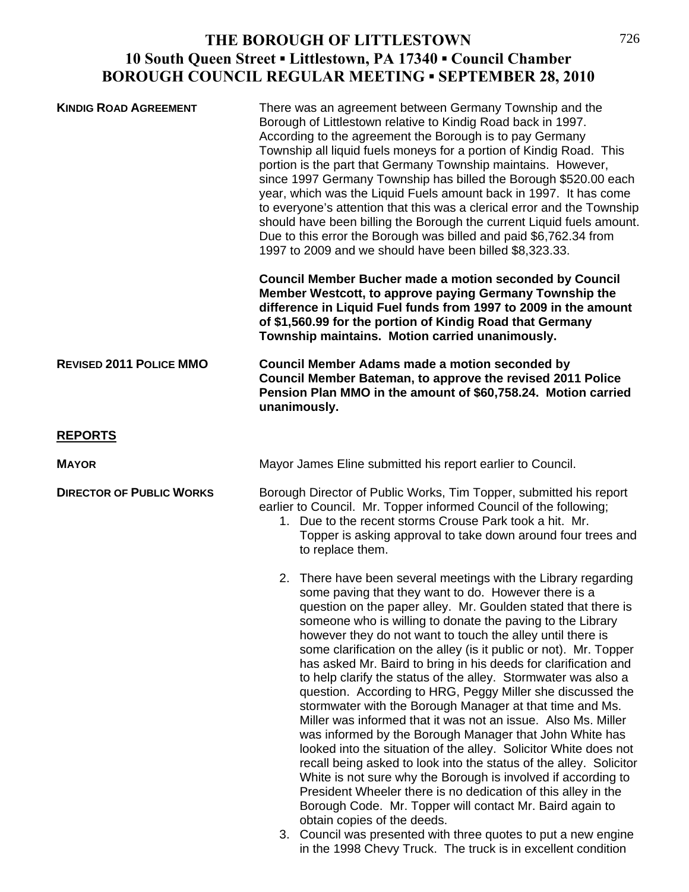| <b>KINDIG ROAD AGREEMENT</b>    | There was an agreement between Germany Township and the<br>Borough of Littlestown relative to Kindig Road back in 1997.<br>According to the agreement the Borough is to pay Germany<br>Township all liquid fuels moneys for a portion of Kindig Road. This<br>portion is the part that Germany Township maintains. However,<br>since 1997 Germany Township has billed the Borough \$520.00 each<br>year, which was the Liquid Fuels amount back in 1997. It has come<br>to everyone's attention that this was a clerical error and the Township<br>should have been billing the Borough the current Liquid fuels amount.<br>Due to this error the Borough was billed and paid \$6,762.34 from<br>1997 to 2009 and we should have been billed \$8,323.33.                                                                                                                                                                                                                                                                                                                                                                                                                                                                                                                                     |
|---------------------------------|----------------------------------------------------------------------------------------------------------------------------------------------------------------------------------------------------------------------------------------------------------------------------------------------------------------------------------------------------------------------------------------------------------------------------------------------------------------------------------------------------------------------------------------------------------------------------------------------------------------------------------------------------------------------------------------------------------------------------------------------------------------------------------------------------------------------------------------------------------------------------------------------------------------------------------------------------------------------------------------------------------------------------------------------------------------------------------------------------------------------------------------------------------------------------------------------------------------------------------------------------------------------------------------------|
|                                 | <b>Council Member Bucher made a motion seconded by Council</b><br>Member Westcott, to approve paying Germany Township the<br>difference in Liquid Fuel funds from 1997 to 2009 in the amount<br>of \$1,560.99 for the portion of Kindig Road that Germany<br>Township maintains. Motion carried unanimously.                                                                                                                                                                                                                                                                                                                                                                                                                                                                                                                                                                                                                                                                                                                                                                                                                                                                                                                                                                                 |
| <b>REVISED 2011 POLICE MMO</b>  | <b>Council Member Adams made a motion seconded by</b><br>Council Member Bateman, to approve the revised 2011 Police<br>Pension Plan MMO in the amount of \$60,758.24. Motion carried<br>unanimously.                                                                                                                                                                                                                                                                                                                                                                                                                                                                                                                                                                                                                                                                                                                                                                                                                                                                                                                                                                                                                                                                                         |
| <b>REPORTS</b>                  |                                                                                                                                                                                                                                                                                                                                                                                                                                                                                                                                                                                                                                                                                                                                                                                                                                                                                                                                                                                                                                                                                                                                                                                                                                                                                              |
| <b>MAYOR</b>                    | Mayor James Eline submitted his report earlier to Council.                                                                                                                                                                                                                                                                                                                                                                                                                                                                                                                                                                                                                                                                                                                                                                                                                                                                                                                                                                                                                                                                                                                                                                                                                                   |
| <b>DIRECTOR OF PUBLIC WORKS</b> | Borough Director of Public Works, Tim Topper, submitted his report<br>earlier to Council. Mr. Topper informed Council of the following;<br>1. Due to the recent storms Crouse Park took a hit. Mr.<br>Topper is asking approval to take down around four trees and<br>to replace them.                                                                                                                                                                                                                                                                                                                                                                                                                                                                                                                                                                                                                                                                                                                                                                                                                                                                                                                                                                                                       |
|                                 | 2. There have been several meetings with the Library regarding<br>some paving that they want to do. However there is a<br>question on the paper alley. Mr. Goulden stated that there is<br>someone who is willing to donate the paving to the Library<br>however they do not want to touch the alley until there is<br>some clarification on the alley (is it public or not). Mr. Topper<br>has asked Mr. Baird to bring in his deeds for clarification and<br>to help clarify the status of the alley. Stormwater was also a<br>question. According to HRG, Peggy Miller she discussed the<br>stormwater with the Borough Manager at that time and Ms.<br>Miller was informed that it was not an issue. Also Ms. Miller<br>was informed by the Borough Manager that John White has<br>looked into the situation of the alley. Solicitor White does not<br>recall being asked to look into the status of the alley. Solicitor<br>White is not sure why the Borough is involved if according to<br>President Wheeler there is no dedication of this alley in the<br>Borough Code. Mr. Topper will contact Mr. Baird again to<br>obtain copies of the deeds.<br>3. Council was presented with three quotes to put a new engine<br>in the 1998 Chevy Truck. The truck is in excellent condition |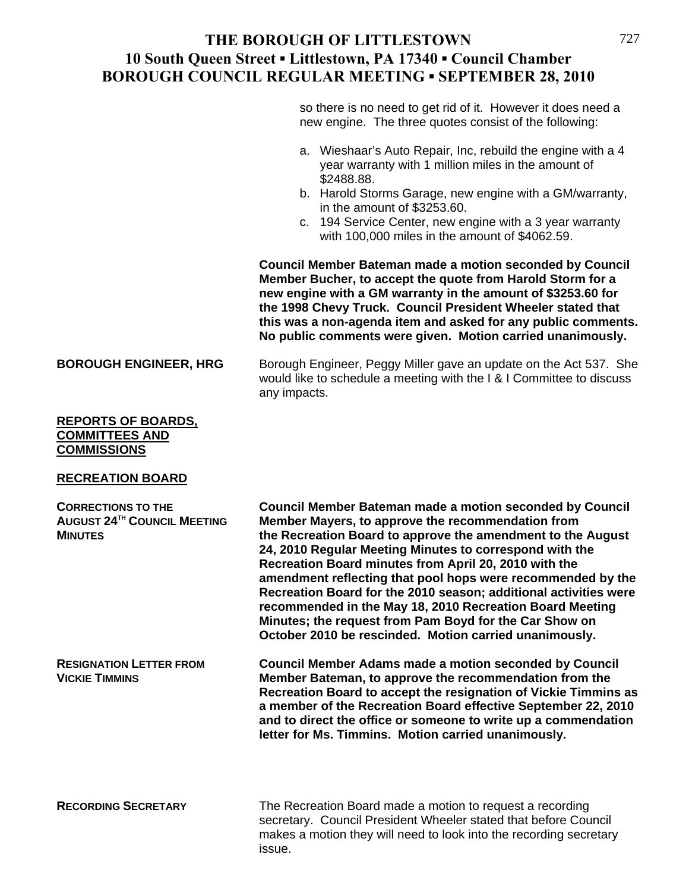so there is no need to get rid of it. However it does need a new engine. The three quotes consist of the following:

- a. Wieshaar's Auto Repair, Inc, rebuild the engine with a 4 year warranty with 1 million miles in the amount of \$2488.88.
- b. Harold Storms Garage, new engine with a GM/warranty, in the amount of \$3253.60.
- c. 194 Service Center, new engine with a 3 year warranty with 100,000 miles in the amount of \$4062.59.

**Council Member Bateman made a motion seconded by Council Member Bucher, to accept the quote from Harold Storm for a new engine with a GM warranty in the amount of \$3253.60 for the 1998 Chevy Truck. Council President Wheeler stated that this was a non-agenda item and asked for any public comments. No public comments were given. Motion carried unanimously.** 

**BOROUGH ENGINEER, HRG** Borough Engineer, Peggy Miller gave an update on the Act 537. She would like to schedule a meeting with the I & I Committee to discuss any impacts.

#### **REPORTS OF BOARDS, COMMITTEES AND COMMISSIONS**

#### **RECREATION BOARD**

| <b>CORRECTIONS TO THE</b><br><b>AUGUST 24TH COUNCIL MEETING</b><br><b>MINUTES</b> | <b>Council Member Bateman made a motion seconded by Council</b><br>Member Mayers, to approve the recommendation from<br>the Recreation Board to approve the amendment to the August<br>24, 2010 Regular Meeting Minutes to correspond with the<br>Recreation Board minutes from April 20, 2010 with the<br>amendment reflecting that pool hops were recommended by the<br>Recreation Board for the 2010 season; additional activities were<br>recommended in the May 18, 2010 Recreation Board Meeting<br>Minutes; the request from Pam Boyd for the Car Show on<br>October 2010 be rescinded. Motion carried unanimously. |
|-----------------------------------------------------------------------------------|----------------------------------------------------------------------------------------------------------------------------------------------------------------------------------------------------------------------------------------------------------------------------------------------------------------------------------------------------------------------------------------------------------------------------------------------------------------------------------------------------------------------------------------------------------------------------------------------------------------------------|
| <b>RESIGNATION LETTER FROM</b><br><b>VICKIE TIMMINS</b>                           | <b>Council Member Adams made a motion seconded by Council</b><br>Member Bateman, to approve the recommendation from the<br>Recreation Board to accept the resignation of Vickie Timmins as<br>a member of the Recreation Board effective September 22, 2010<br>and to direct the office or someone to write up a commendation<br>letter for Ms. Timmins. Motion carried unanimously.                                                                                                                                                                                                                                       |
| <b>RECORDING SECRETARY</b>                                                        | The Recreation Board made a motion to request a recording<br>secretary. Council President Wheeler stated that before Council<br>makes a motion they will need to look into the recording secretary<br>issue.                                                                                                                                                                                                                                                                                                                                                                                                               |